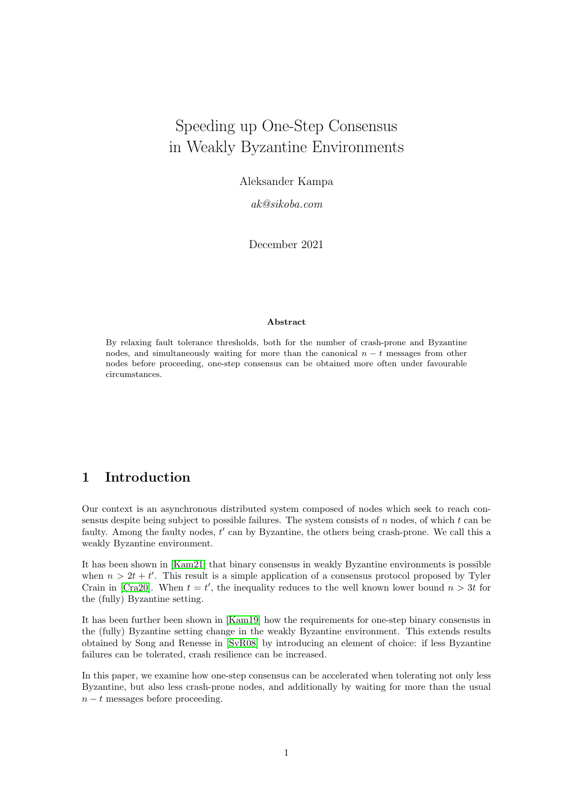# Speeding up One-Step Consensus in Weakly Byzantine Environments

Aleksander Kampa

ak@sikoba.com

December 2021

### Abstract

By relaxing fault tolerance thresholds, both for the number of crash-prone and Byzantine nodes, and simultaneously waiting for more than the canonical  $n - t$  messages from other nodes before proceeding, one-step consensus can be obtained more often under favourable circumstances.

# 1 Introduction

Our context is an asynchronous distributed system composed of nodes which seek to reach consensus despite being subject to possible failures. The system consists of  $n$  nodes, of which  $t$  can be faulty. Among the faulty nodes,  $t'$  can by Byzantine, the others being crash-prone. We call this a weakly Byzantine environment.

It has been shown in [\[Kam21\]](#page-6-0) that binary consensus in weakly Byzantine environments is possible when  $n > 2t + t'$ . This result is a simple application of a consensus protocol proposed by Tyler Crain in [\[Cra20\]](#page-5-0). When  $t = t'$ , the inequality reduces to the well known lower bound  $n > 3t$  for the (fully) Byzantine setting.

It has been further been shown in [\[Kam19\]](#page-6-1) how the requirements for one-step binary consensus in the (fully) Byzantine setting change in the weakly Byzantine environment. This extends results obtained by Song and Renesse in [\[SvR08\]](#page-6-2) by introducing an element of choice: if less Byzantine failures can be tolerated, crash resilience can be increased.

In this paper, we examine how one-step consensus can be accelerated when tolerating not only less Byzantine, but also less crash-prone nodes, and additionally by waiting for more than the usual  $n - t$  messages before proceeding.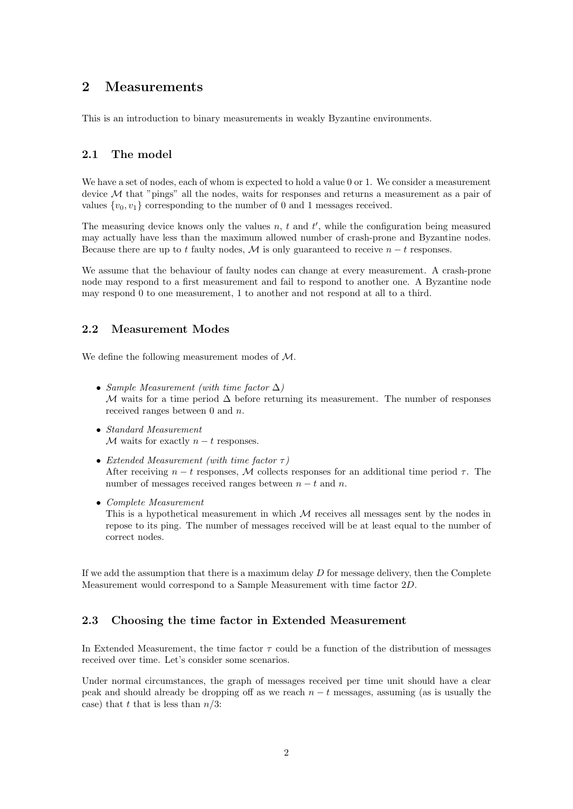### 2 Measurements

This is an introduction to binary measurements in weakly Byzantine environments.

### 2.1 The model

We have a set of nodes, each of whom is expected to hold a value 0 or 1. We consider a measurement device  $M$  that "pings" all the nodes, waits for responses and returns a measurement as a pair of values  $\{v_0, v_1\}$  corresponding to the number of 0 and 1 messages received.

The measuring device knows only the values  $n, t$  and  $t'$ , while the configuration being measured may actually have less than the maximum allowed number of crash-prone and Byzantine nodes. Because there are up to t faulty nodes, M is only guaranteed to receive  $n - t$  responses.

We assume that the behaviour of faulty nodes can change at every measurement. A crash-prone node may respond to a first measurement and fail to respond to another one. A Byzantine node may respond 0 to one measurement, 1 to another and not respond at all to a third.

### 2.2 Measurement Modes

We define the following measurement modes of M.

- Sample Measurement (with time factor  $\Delta$ ) M waits for a time period  $\Delta$  before returning its measurement. The number of responses received ranges between 0 and n.
- Standard Measurement  $M$  waits for exactly  $n - t$  responses.
- Extended Measurement (with time factor  $\tau$ ) After receiving  $n - t$  responses, M collects responses for an additional time period  $\tau$ . The number of messages received ranges between  $n - t$  and n.
- Complete Measurement This is a hypothetical measurement in which  $M$  receives all messages sent by the nodes in repose to its ping. The number of messages received will be at least equal to the number of correct nodes.

If we add the assumption that there is a maximum delay  $D$  for message delivery, then the Complete Measurement would correspond to a Sample Measurement with time factor 2D.

### 2.3 Choosing the time factor in Extended Measurement

In Extended Measurement, the time factor  $\tau$  could be a function of the distribution of messages received over time. Let's consider some scenarios.

Under normal circumstances, the graph of messages received per time unit should have a clear peak and should already be dropping off as we reach  $n - t$  messages, assuming (as is usually the case) that t that is less than  $n/3$ :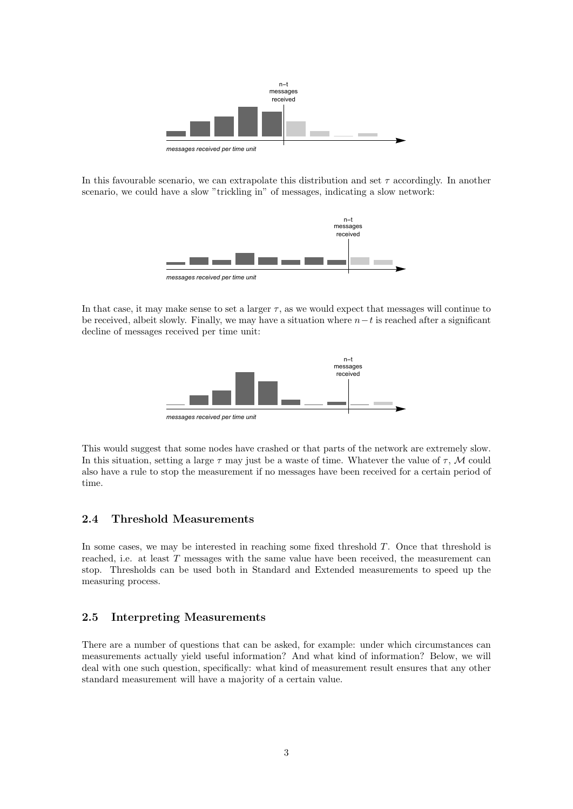

In this favourable scenario, we can extrapolate this distribution and set  $\tau$  accordingly. In another scenario, we could have a slow "trickling in" of messages, indicating a slow network:



In that case, it may make sense to set a larger  $\tau$ , as we would expect that messages will continue to be received, albeit slowly. Finally, we may have a situation where  $n-t$  is reached after a significant decline of messages received per time unit:



This would suggest that some nodes have crashed or that parts of the network are extremely slow. In this situation, setting a large  $\tau$  may just be a waste of time. Whatever the value of  $\tau$ , M could also have a rule to stop the measurement if no messages have been received for a certain period of time.

### 2.4 Threshold Measurements

In some cases, we may be interested in reaching some fixed threshold T. Once that threshold is reached, i.e. at least T messages with the same value have been received, the measurement can stop. Thresholds can be used both in Standard and Extended measurements to speed up the measuring process.

### 2.5 Interpreting Measurements

There are a number of questions that can be asked, for example: under which circumstances can measurements actually yield useful information? And what kind of information? Below, we will deal with one such question, specifically: what kind of measurement result ensures that any other standard measurement will have a majority of a certain value.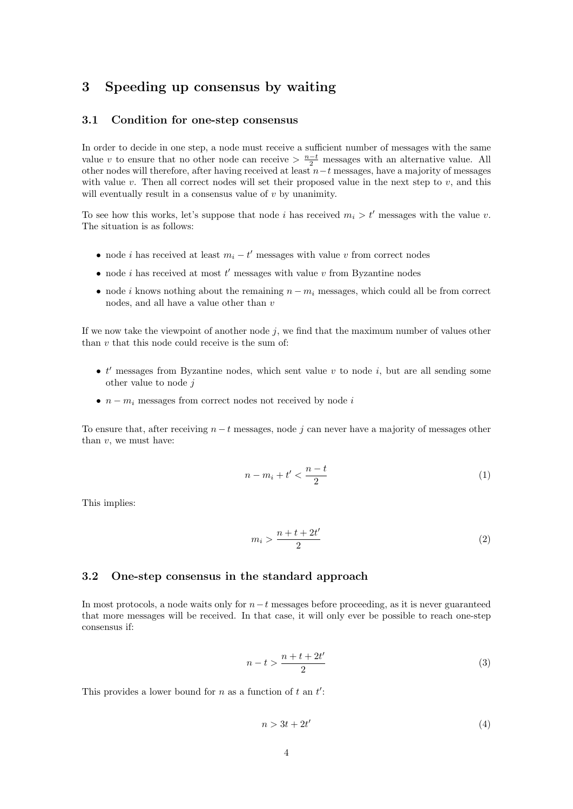### 3 Speeding up consensus by waiting

### 3.1 Condition for one-step consensus

In order to decide in one step, a node must receive a sufficient number of messages with the same value v to ensure that no other node can receive  $\frac{n-t}{2}$  messages with an alternative value. All other nodes will therefore, after having received at least  $n-t$  messages, have a majority of messages with value  $v$ . Then all correct nodes will set their proposed value in the next step to  $v$ , and this will eventually result in a consensus value of  $v$  by unanimity.

To see how this works, let's suppose that node i has received  $m_i > t'$  messages with the value v. The situation is as follows:

- node *i* has received at least  $m_i t'$  messages with value v from correct nodes
- node *i* has received at most  $t'$  messages with value  $v$  from Byzantine nodes
- node i knows nothing about the remaining  $n m<sub>i</sub>$  messages, which could all be from correct nodes, and all have a value other than  $v$

If we now take the viewpoint of another node  $j$ , we find that the maximum number of values other than  $v$  that this node could receive is the sum of:

- $\bullet$  t' messages from Byzantine nodes, which sent value v to node i, but are all sending some other value to node j
- $n m_i$  messages from correct nodes not received by node i

To ensure that, after receiving  $n - t$  messages, node j can never have a majority of messages other than  $v$ , we must have:

$$
n - m_i + t' < \frac{n - t}{2} \tag{1}
$$

This implies:

$$
m_i > \frac{n+t+2t'}{2} \tag{2}
$$

### 3.2 One-step consensus in the standard approach

In most protocols, a node waits only for  $n-t$  messages before proceeding, as it is never guaranteed that more messages will be received. In that case, it will only ever be possible to reach one-step consensus if:

$$
n-t > \frac{n+t+2t'}{2} \tag{3}
$$

This provides a lower bound for  $n$  as a function of  $t$  an  $t'$ :

$$
n > 3t + 2t'
$$
\n<sup>(4)</sup>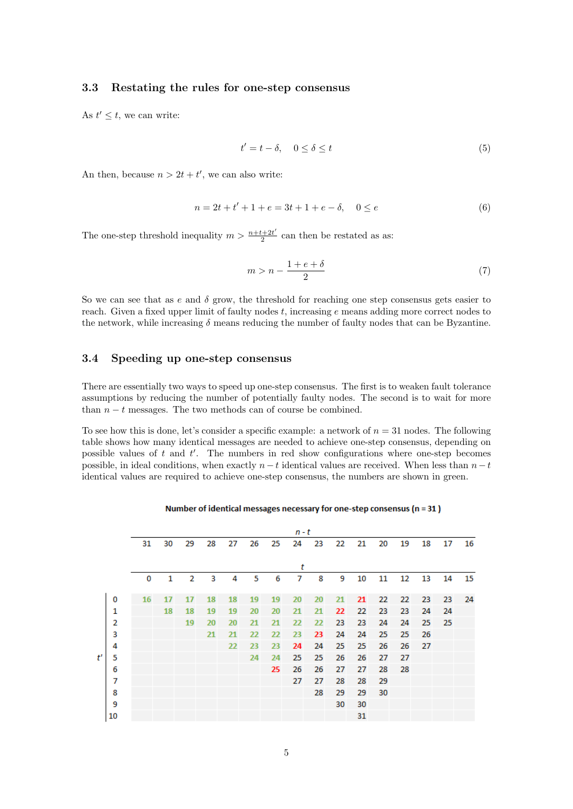### 3.3 Restating the rules for one-step consensus

As  $t' \leq t$ , we can write:

$$
t' = t - \delta, \quad 0 \le \delta \le t \tag{5}
$$

An then, because  $n > 2t + t'$ , we can also write:

$$
n = 2t + t' + 1 + e = 3t + 1 + e - \delta, \quad 0 \le e \tag{6}
$$

The one-step threshold inequality  $m > \frac{n+t+2t'}{2}$  $\frac{2+2t}{2}$  can then be restated as as:

$$
m > n - \frac{1+e+\delta}{2} \tag{7}
$$

So we can see that as e and  $\delta$  grow, the threshold for reaching one step consensus gets easier to reach. Given a fixed upper limit of faulty nodes  $t$ , increasing  $e$  means adding more correct nodes to the network, while increasing  $\delta$  means reducing the number of faulty nodes that can be Byzantine.

### 3.4 Speeding up one-step consensus

There are essentially two ways to speed up one-step consensus. The first is to weaken fault tolerance assumptions by reducing the number of potentially faulty nodes. The second is to wait for more than  $n - t$  messages. The two methods can of course be combined.

To see how this is done, let's consider a specific example: a network of  $n = 31$  nodes. The following table shows how many identical messages are needed to achieve one-step consensus, depending on possible values of  $t$  and  $t'$ . The numbers in red show configurations where one-step becomes possible, in ideal conditions, when exactly  $n-t$  identical values are received. When less than  $n-t$ identical values are required to achieve one-step consensus, the numbers are shown in green.

#### Number of identical messages necessary for one-step consensus ( $n = 31$ )

|   |    |    | n - t |                |    |    |    |    |    |    |    |    |    |    |    |    |    |
|---|----|----|-------|----------------|----|----|----|----|----|----|----|----|----|----|----|----|----|
|   |    | 31 | 30    | 29             | 28 | 27 | 26 | 25 | 24 | 23 | 22 | 21 | 20 | 19 | 18 | 17 | 16 |
|   |    |    |       |                |    |    |    |    |    |    |    |    |    |    |    |    |    |
|   |    |    |       |                |    |    |    |    | t  |    |    |    |    |    |    |    |    |
|   |    | 0  | 1     | $\overline{2}$ | 3  | 4  | 5  | 6  | 7  | 8  | 9  | 10 | 11 | 12 | 13 | 14 | 15 |
| ť | 0  | 16 | 17    | 17             | 18 | 18 | 19 | 19 | 20 | 20 | 21 | 21 | 22 | 22 | 23 | 23 | 24 |
|   | 1  |    | 18    | 18             | 19 | 19 | 20 | 20 | 21 | 21 | 22 | 22 | 23 | 23 | 24 | 24 |    |
|   | 2  |    |       | 19             | 20 | 20 | 21 | 21 | 22 | 22 | 23 | 23 | 24 | 24 | 25 | 25 |    |
|   | 3  |    |       |                | 21 | 21 | 22 | 22 | 23 | 23 | 24 | 24 | 25 | 25 | 26 |    |    |
|   | 4  |    |       |                |    | 22 | 23 | 23 | 24 | 24 | 25 | 25 | 26 | 26 | 27 |    |    |
|   | 5  |    |       |                |    |    | 24 | 24 | 25 | 25 | 26 | 26 | 27 | 27 |    |    |    |
|   | 6  |    |       |                |    |    |    | 25 | 26 | 26 | 27 | 27 | 28 | 28 |    |    |    |
|   | 7  |    |       |                |    |    |    |    | 27 | 27 | 28 | 28 | 29 |    |    |    |    |
|   | 8  |    |       |                |    |    |    |    |    | 28 | 29 | 29 | 30 |    |    |    |    |
|   | 9  |    |       |                |    |    |    |    |    |    | 30 | 30 |    |    |    |    |    |
|   | 10 |    |       |                |    |    |    |    |    |    |    | 31 |    |    |    |    |    |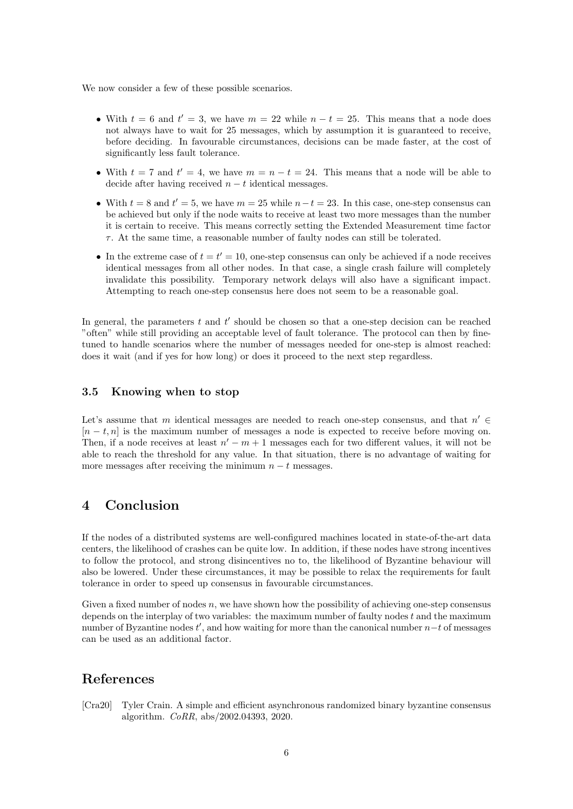We now consider a few of these possible scenarios.

- With  $t = 6$  and  $t' = 3$ , we have  $m = 22$  while  $n t = 25$ . This means that a node does not always have to wait for 25 messages, which by assumption it is guaranteed to receive, before deciding. In favourable circumstances, decisions can be made faster, at the cost of significantly less fault tolerance.
- With  $t = 7$  and  $t' = 4$ , we have  $m = n t = 24$ . This means that a node will be able to decide after having received  $n - t$  identical messages.
- With  $t = 8$  and  $t' = 5$ , we have  $m = 25$  while  $n t = 23$ . In this case, one-step consensus can be achieved but only if the node waits to receive at least two more messages than the number it is certain to receive. This means correctly setting the Extended Measurement time factor  $\tau$ . At the same time, a reasonable number of faulty nodes can still be tolerated.
- In the extreme case of  $t = t' = 10$ , one-step consensus can only be achieved if a node receives identical messages from all other nodes. In that case, a single crash failure will completely invalidate this possibility. Temporary network delays will also have a significant impact. Attempting to reach one-step consensus here does not seem to be a reasonable goal.

In general, the parameters  $t$  and  $t'$  should be chosen so that a one-step decision can be reached "often" while still providing an acceptable level of fault tolerance. The protocol can then by finetuned to handle scenarios where the number of messages needed for one-step is almost reached: does it wait (and if yes for how long) or does it proceed to the next step regardless.

### 3.5 Knowing when to stop

Let's assume that m identical messages are needed to reach one-step consensus, and that  $n' \in$  $[n - t, n]$  is the maximum number of messages a node is expected to receive before moving on. Then, if a node receives at least  $n' - m + 1$  messages each for two different values, it will not be able to reach the threshold for any value. In that situation, there is no advantage of waiting for more messages after receiving the minimum  $n - t$  messages.

## 4 Conclusion

If the nodes of a distributed systems are well-configured machines located in state-of-the-art data centers, the likelihood of crashes can be quite low. In addition, if these nodes have strong incentives to follow the protocol, and strong disincentives no to, the likelihood of Byzantine behaviour will also be lowered. Under these circumstances, it may be possible to relax the requirements for fault tolerance in order to speed up consensus in favourable circumstances.

Given a fixed number of nodes  $n$ , we have shown how the possibility of achieving one-step consensus depends on the interplay of two variables: the maximum number of faulty nodes t and the maximum number of Byzantine nodes  $t'$ , and how waiting for more than the canonical number  $n-t$  of messages can be used as an additional factor.

# References

<span id="page-5-0"></span>[Cra20] Tyler Crain. A simple and efficient asynchronous randomized binary byzantine consensus algorithm. CoRR, abs/2002.04393, 2020.